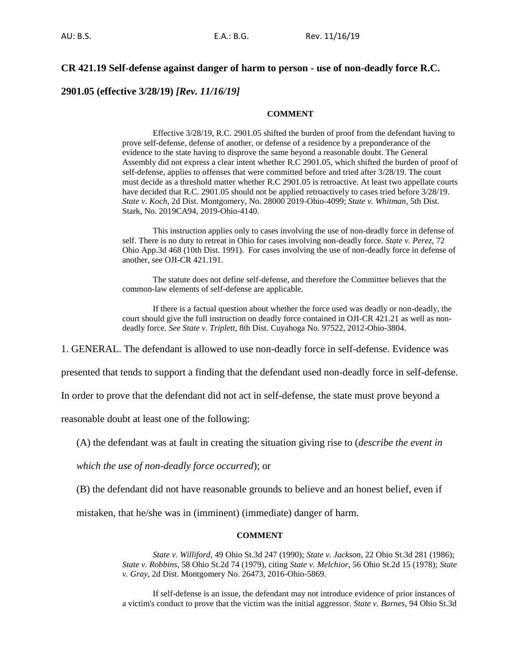# **CR 421.19 Self-defense against danger of harm to person - use of non-deadly force R.C.**

# **2901.05 (effective 3/28/19)** *[Rev. 11/16/19]*

## **COMMENT**

Effective 3/28/19, R.C. 2901.05 shifted the burden of proof from the defendant having to prove self-defense, defense of another, or defense of a residence by a preponderance of the evidence to the state having to disprove the same beyond a reasonable doubt. The General Assembly did not express a clear intent whether R.C 2901.05, which shifted the burden of proof of self-defense, applies to offenses that were committed before and tried after 3/28/19. The court must decide as a threshold matter whether R.C 2901.05 is retroactive. At least two appellate courts have decided that R.C. 2901.05 should not be applied retroactively to cases tried before 3/28/19. *State v. Koch*, 2d Dist. Montgomery, No. 28000 2019-Ohio-4099; *State v. Whitman*, 5th Dist. Stark, No. 2019CA94, 2019-Ohio-4140.

This instruction applies only to cases involving the use of non-deadly force in defense of self. There is no duty to retreat in Ohio for cases involving non-deadly force. *State v. Perez*, 72 Ohio App.3d 468 (10th Dist. 1991). For cases involving the use of non-deadly force in defense of another, see OJI-CR 421.191.

The statute does not define self-defense, and therefore the Committee believes that the common-law elements of self-defense are applicable.

If there is a factual question about whether the force used was deadly or non-deadly, the court should give the full instruction on deadly force contained in OJI-CR 421.21 as well as nondeadly force. *See State v. Triplett*, 8th Dist. Cuyahoga No. 97522, 2012-Ohio-3804.

1. GENERAL. The defendant is allowed to use non-deadly force in self-defense. Evidence was

presented that tends to support a finding that the defendant used non-deadly force in self-defense.

In order to prove that the defendant did not act in self-defense, the state must prove beyond a

reasonable doubt at least one of the following:

(A) the defendant was at fault in creating the situation giving rise to (*describe the event in* 

*which the use of non-deadly force occurred*); or

(B) the defendant did not have reasonable grounds to believe and an honest belief, even if

mistaken, that he/she was in (imminent) (immediate) danger of harm.

#### **COMMENT**

*State v. Williford*, 49 Ohio St.3d 247 (1990); *State v. Jackson*, 22 Ohio St.3d 281 (1986); *State v. Robbins*, 58 Ohio St.2d 74 (1979), citing *State v. Melchior*, 56 Ohio St.2d 15 (1978); *State v. Gray*, 2d Dist. Montgomery No. 26473, 2016-Ohio-5869.

If self-defense is an issue, the defendant may not introduce evidence of prior instances of a victim's conduct to prove that the victim was the initial aggressor. *State v. Barnes*, 94 Ohio St.3d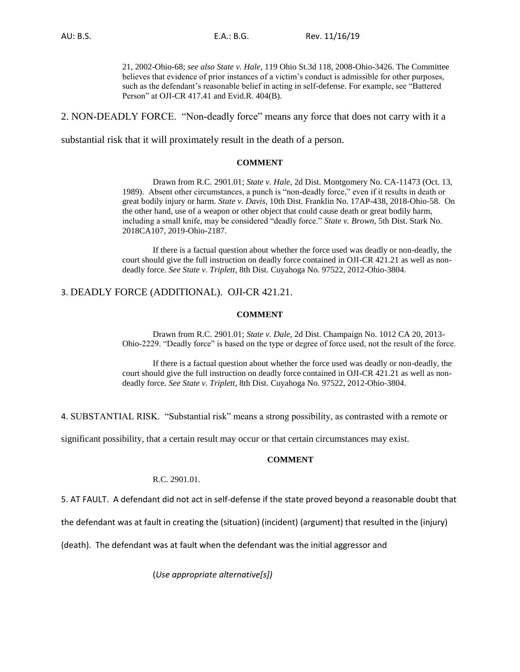21, 2002-Ohio-68; *see also State v. Hale*, 119 Ohio St.3d 118, 2008-Ohio-3426. The Committee believes that evidence of prior instances of a victim's conduct is admissible for other purposes, such as the defendant's reasonable belief in acting in self-defense. For example, see "Battered Person" at OJI-CR 417.41 and Evid.R. 404(B).

2. NON-DEADLY FORCE. "Non-deadly force" means any force that does not carry with it a

substantial risk that it will proximately result in the death of a person.

### **COMMENT**

Drawn from R.C. 2901.01; *State v. Hale*, 2d Dist. Montgomery No. CA-11473 (Oct. 13, 1989). Absent other circumstances, a punch is "non-deadly force," even if it results in death or great bodily injury or harm. *State v. Davis*, 10th Dist. Franklin No. 17AP-438, 2018-Ohio-58. On the other hand, use of a weapon or other object that could cause death or great bodily harm, including a small knife, may be considered "deadly force." *State v. Brown*, 5th Dist. Stark No. 2018CA107, 2019-Ohio-2187.

If there is a factual question about whether the force used was deadly or non-deadly, the court should give the full instruction on deadly force contained in OJI-CR 421.21 as well as nondeadly force. *See State v. Triplett*, 8th Dist. Cuyahoga No. 97522, 2012-Ohio-3804.

# 3. DEADLY FORCE (ADDITIONAL). OJI-CR 421.21.

### **COMMENT**

Drawn from R.C. 2901.01; *State v. Dale,* 2d Dist. Champaign No. 1012 CA 20, 2013- Ohio-2229. "Deadly force" is based on the type or degree of force used, not the result of the force.

If there is a factual question about whether the force used was deadly or non-deadly, the court should give the full instruction on deadly force contained in OJI-CR 421.21 as well as nondeadly force. *See State v. Triplett*, 8th Dist. Cuyahoga No. 97522, 2012-Ohio-3804.

4. SUBSTANTIAL RISK. "Substantial risk" means a strong possibility, as contrasted with a remote or

significant possibility, that a certain result may occur or that certain circumstances may exist.

### **COMMENT**

#### R.C. 2901.01.

5. AT FAULT. A defendant did not act in self-defense if the state proved beyond a reasonable doubt that

the defendant was at fault in creating the (situation) (incident) (argument) that resulted in the (injury)

(death). The defendant was at fault when the defendant was the initial aggressor and

(*Use appropriate alternative[s])*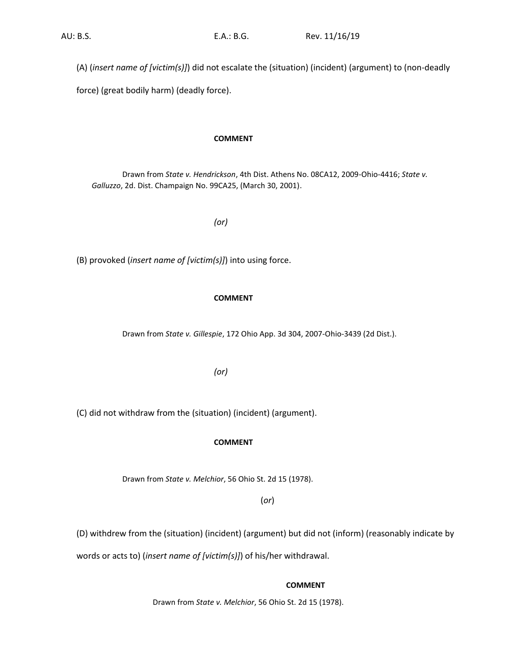(A) (*insert name of [victim(s)]*) did not escalate the (situation) (incident) (argument) to (non-deadly

force) (great bodily harm) (deadly force).

# **COMMENT**

Drawn from *State v. Hendrickson*, 4th Dist. Athens No. 08CA12, 2009-Ohio-4416; *State v. Galluzzo*, 2d. Dist. Champaign No. 99CA25, (March 30, 2001).

*(or)*

(B) provoked (*insert name of [victim(s)]*) into using force.

# **COMMENT**

Drawn from *State v. Gillespie*, 172 Ohio App. 3d 304, 2007-Ohio-3439 (2d Dist.).

*(or)*

(C) did not withdraw from the (situation) (incident) (argument).

# **COMMENT**

Drawn from *State v. Melchior*, 56 Ohio St. 2d 15 (1978).

(*or*)

(D) withdrew from the (situation) (incident) (argument) but did not (inform) (reasonably indicate by

words or acts to) (*insert name of [victim(s)]*) of his/her withdrawal.

**COMMENT**

Drawn from *State v. Melchior*, 56 Ohio St. 2d 15 (1978).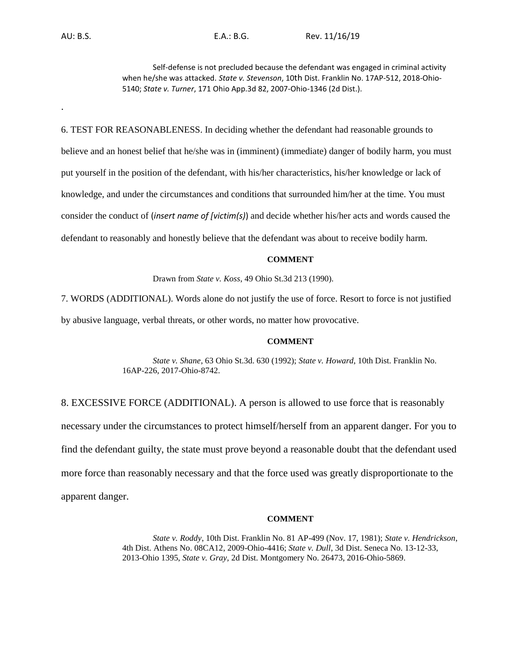.

AU: B.S. E.A.: B.G. Rev. 11/16/19

Self-defense is not precluded because the defendant was engaged in criminal activity when he/she was attacked. *State v. Stevenson*, 10th Dist. Franklin No. 17AP-512, 2018-Ohio-5140; *State v. Turner*, 171 Ohio App.3d 82, 2007-Ohio-1346 (2d Dist.).

6. TEST FOR REASONABLENESS. In deciding whether the defendant had reasonable grounds to believe and an honest belief that he/she was in (imminent) (immediate) danger of bodily harm, you must put yourself in the position of the defendant, with his/her characteristics, his/her knowledge or lack of knowledge, and under the circumstances and conditions that surrounded him/her at the time. You must consider the conduct of (*insert name of [victim(s)*) and decide whether his/her acts and words caused the defendant to reasonably and honestly believe that the defendant was about to receive bodily harm.

### **COMMENT**

Drawn from *State v. Koss*, 49 Ohio St.3d 213 (1990).

7. WORDS (ADDITIONAL). Words alone do not justify the use of force. Resort to force is not justified by abusive language, verbal threats, or other words, no matter how provocative.

## **COMMENT**

*State v. Shane*, 63 Ohio St.3d. 630 (1992); *State v. Howard*, 10th Dist. Franklin No. 16AP-226, 2017-Ohio-8742.

8. EXCESSIVE FORCE (ADDITIONAL). A person is allowed to use force that is reasonably necessary under the circumstances to protect himself/herself from an apparent danger. For you to find the defendant guilty, the state must prove beyond a reasonable doubt that the defendant used more force than reasonably necessary and that the force used was greatly disproportionate to the apparent danger.

## **COMMENT**

*State v. Roddy*, 10th Dist. Franklin No. 81 AP-499 (Nov. 17, 1981); *State v. Hendrickson*, 4th Dist. Athens No. 08CA12, 2009-Ohio-4416; *State v. Dull*, 3d Dist. Seneca No. 13-12-33, 2013-Ohio 1395, *State v. Gray,* 2d Dist. Montgomery No. 26473, 2016-Ohio-5869.